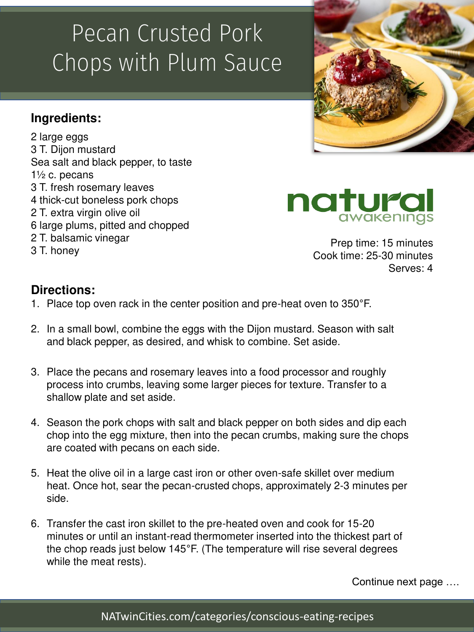# Pecan Crusted Pork Chops with Plum Sauce

## **Ingredients:**

2 large eggs 3 T. Dijon mustard Sea salt and black pepper, to taste 1½ c. pecans 3 T. fresh rosemary leaves 4 thick-cut boneless pork chops 2 T. extra virgin olive oil 6 large plums, pitted and chopped 2 T. balsamic vinegar 3 T. honey





Prep time: 15 minutes Cook time: 25-30 minutes Serves: 4

#### **Directions:**

- 1. Place top oven rack in the center position and pre-heat oven to 350°F.
- 2. In a small bowl, combine the eggs with the Dijon mustard. Season with salt and black pepper, as desired, and whisk to combine. Set aside.
- 3. Place the pecans and rosemary leaves into a food processor and roughly process into crumbs, leaving some larger pieces for texture. Transfer to a shallow plate and set aside.
- 4. Season the pork chops with salt and black pepper on both sides and dip each chop into the egg mixture, then into the pecan crumbs, making sure the chops are coated with pecans on each side.
- 5. Heat the olive oil in a large cast iron or other oven-safe skillet over medium heat. Once hot, sear the pecan-crusted chops, approximately 2-3 minutes per side.
- 6. Transfer the cast iron skillet to the pre-heated oven and cook for 15-20 minutes or until an instant-read thermometer inserted into the thickest part of the chop reads just below 145°F. (The temperature will rise several degrees while the meat rests).

Continue next page ….